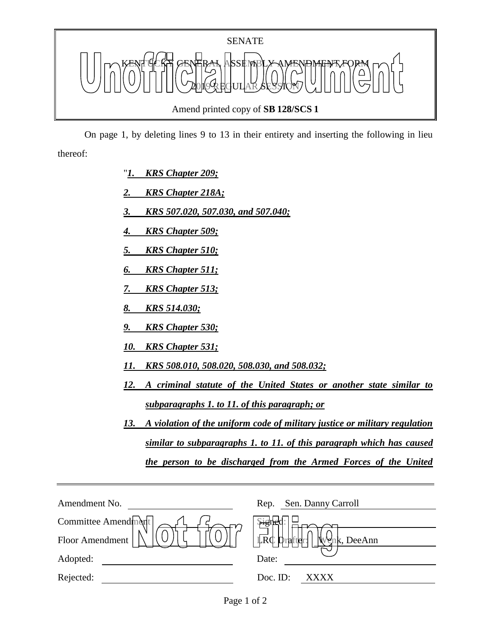

 On page 1, by deleting lines 9 to 13 in their entirety and inserting the following in lieu thereof:

- "*1. KRS Chapter 209;*
- *2. KRS Chapter 218A;*
- *3. KRS 507.020, 507.030, and 507.040;*
- *4. KRS Chapter 509;*
- *5. KRS Chapter 510;*
- *6. KRS Chapter 511;*
- *7. KRS Chapter 513;*
- *8. KRS 514.030;*
- *9. KRS Chapter 530;*
- *10. KRS Chapter 531;*
- *11. KRS 508.010, 508.020, 508.030, and 508.032;*
- *12. A criminal statute of the United States or another state similar to subparagraphs 1. to 11. of this paragraph; or*
- *13. A violation of the uniform code of military justice or military regulation similar to subparagraphs 1. to 11. of this paragraph which has caused the person to be discharged from the Armed Forces of the United*

| Amendment No.       | Sen. Danny Carroll<br>Rep.             |
|---------------------|----------------------------------------|
| Committee Amendment | $H_{\mathcal{B}}^{(n)}$                |
| Floor Amendment     | <b>LRC</b> Drafter!<br>M<br>nk, DeeAnn |
| Adopted:            | Date:                                  |
| Rejected:           | Doc. ID:<br>XXXX                       |
|                     |                                        |